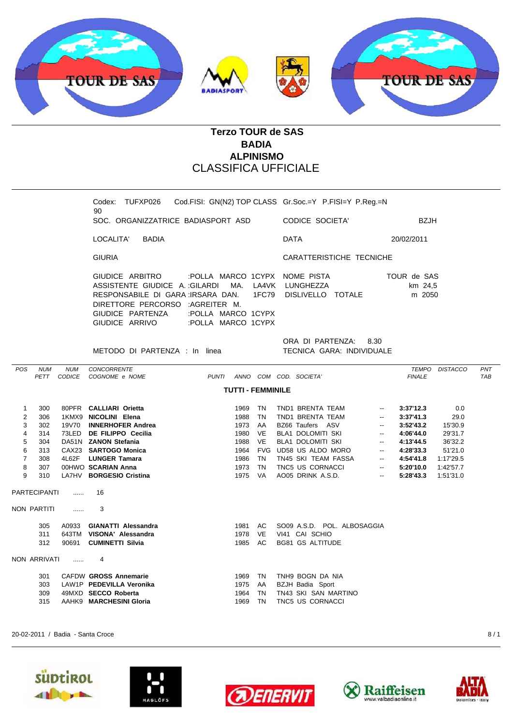

## **Terzo TOUR de SAS BADIA ALPINISMO** CLASSIFICA UFFICIALE

Codex: TUFXP026 Cod.FISI: GN(N2) TOP CLASS Gr.Soc.=Y P.FISI=Y P.Reg.=N 90 SOC. ORGANIZZATRICE BADIASPORT ASD CODICE SOCIETA' BZJH

LOCALITA' BADIA DATA 20/02/2011

GIURIA CARATTERISTICHE TECNICHE

GIUDICE ARBITRO :POLLA MARCO 1CYPX NOME PISTA TOUR de SAS ASSISTENTE GIUDICE A. : GILARDI MA. LA4VK LUNGHEZZA km 24,5 RESPONSABILE DI GARA :IRSARA DAN. 1FC79 DISLIVELLO TOTALE m 2050

METODO DI PARTENZA : In linea TECNICA GARA: INDIVIDUALE

DIRETTORE PERCORSO :AGREITER M.

GIUDICE PARTENZA :POLLA MARCO 1CYPX GIUDICE ARRIVO :POLLA MARCO 1CYPX

## ORA DI PARTENZA: 8.30

| <b>POS</b> | <b>NUM</b>                                | <b>NUM</b>    | <b>CONCORRENTE</b>                                |       |              |            |                                      |                          | TEMPO         | <b>DISTACCO</b> | <b>PNT</b> |  |  |  |
|------------|-------------------------------------------|---------------|---------------------------------------------------|-------|--------------|------------|--------------------------------------|--------------------------|---------------|-----------------|------------|--|--|--|
|            | <b>PETT</b>                               | <b>CODICE</b> | COGNOME e NOME                                    | PUNTI |              |            | ANNO COM COD. SOCIETA'               |                          | <b>FINALE</b> |                 | <b>TAB</b> |  |  |  |
|            | <b>TUTTI - FEMMINILE</b>                  |               |                                                   |       |              |            |                                      |                          |               |                 |            |  |  |  |
| 1          | 300                                       |               | 80PFR CALLIARI Orietta                            |       | 1969         | TN         | TND1 BRENTA TEAM                     | $\overline{\phantom{a}}$ | 3:37'12.3     | 0.0             |            |  |  |  |
| 2          | 306                                       | 1KMX9         | NICOLINI Elena                                    |       | 1988         | TN         | TND1 BRENTA TEAM                     | $\overline{\phantom{a}}$ | 3:37'41.3     | 29.0            |            |  |  |  |
| 3          | 302                                       | 19V70         | <b>INNERHOFER Andrea</b>                          |       | 1973         | AA         | BZ66 Taufers ASV                     | $- -$                    | 3:52'43.2     | 15'30.9         |            |  |  |  |
| 4          | 314                                       | 73LED         | DE FILIPPO Cecilia                                |       | 1980         | <b>VE</b>  | <b>BLA1 DOLOMITI SKI</b>             | $- -$                    | 4:06'44.0     | 29'31.7         |            |  |  |  |
| 5          | 304                                       |               | DA51N ZANON Stefania                              |       | 1988         | <b>VE</b>  | <b>BLA1 DOLOMITI SKI</b>             | $\overline{\phantom{a}}$ | 4:13'44.5     | 36'32.2         |            |  |  |  |
| 6          | 313                                       | CAX23         | <b>SARTOGO Monica</b>                             |       | 1964         | <b>FVG</b> | UD58 US ALDO MORO                    | $- -$                    | 4:28'33.3     | 51'21.0         |            |  |  |  |
| 7          | 308                                       | 4L62F         | <b>LUNGER Tamara</b>                              |       | 1986         | TN         | TN45 SKI TEAM FASSA                  | $\overline{\phantom{a}}$ | 4:54'41.8     | 1:17'29.5       |            |  |  |  |
| 8          | 307                                       |               | 00HWO SCARIAN Anna                                |       | 1973         | TN         | TNC5 US CORNACCI                     | --                       | 5:20'10.0     | 1:42'57.7       |            |  |  |  |
| 9          | 310                                       |               | LA7HV BORGESIO Cristina                           |       | 1975         | VA.        | AO05 DRINK A.S.D.                    | $\overline{\phantom{a}}$ | 5:28'43.3     | 1:51'31.0       |            |  |  |  |
|            | <b>PARTECIPANTI</b><br><b>NON PARTITI</b> | .<br>.        | 16<br>3                                           |       |              |            |                                      |                          |               |                 |            |  |  |  |
|            | 305                                       | A0933         | <b>GIANATTI Alessandra</b>                        |       | 1981         | AC.        | SO09 A.S.D. POL. ALBOSAGGIA          |                          |               |                 |            |  |  |  |
|            | 311                                       | 643TM         | VISONA' Alessandra                                |       | 1978         | <b>VE</b>  | VI41 CAI SCHIO                       |                          |               |                 |            |  |  |  |
|            | 312                                       | 90691         | <b>CUMINETTI Silvia</b>                           |       | 1985         | AC.        | <b>BG81 GS ALTITUDE</b>              |                          |               |                 |            |  |  |  |
|            | NON ARRIVATI                              | .             | 4                                                 |       |              |            |                                      |                          |               |                 |            |  |  |  |
|            | 301<br>303                                |               | CAFDW GROSS Annemarie<br>LAW1P PEDEVILLA Veronika |       | 1969<br>1975 | TN<br>AA   | TNH9 BOGN DA NIA<br>BZJH Badia Sport |                          |               |                 |            |  |  |  |
|            | 309                                       |               | 49MXD SECCO Roberta                               |       | 1964         | <b>TN</b>  | TN43 SKI SAN MARTINO                 |                          |               |                 |            |  |  |  |
|            | 315                                       | AAHK9         | <b>MARCHESINI Gloria</b>                          |       | 1969         | TN         | TNC5 US CORNACCI                     |                          |               |                 |            |  |  |  |
|            |                                           |               |                                                   |       |              |            |                                      |                          |               |                 |            |  |  |  |

20-02-2011 / Badia - Santa Croce 8 / 1









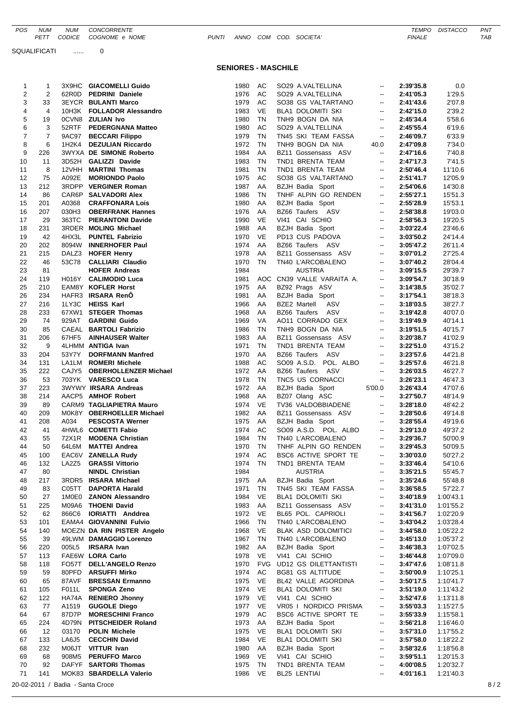SQUALIFICATI ...... 0

## **SENIORES - MASCHILE**

| 1                       | 1              |                                  | 3X9HC GIACOMELLI Guido      | 1980    | AC        | SO29 A.VALTELLINA         | $\overline{\phantom{a}}$ | 2:39'35.8 | 0.0              |     |
|-------------------------|----------------|----------------------------------|-----------------------------|---------|-----------|---------------------------|--------------------------|-----------|------------------|-----|
| $\overline{\mathbf{c}}$ | $\overline{2}$ |                                  | 62R0D PEDRINI Daniele       | 1976    | AC        | SO29 A.VALTELLINA         | $\overline{\phantom{a}}$ | 2:41'05.3 | 1'29.5           |     |
| 3                       | 33             |                                  | <b>3EYCR BULANTI Marco</b>  | 1979    | AC        | SO38 GS VALTARTANO        | $\overline{\phantom{a}}$ | 2:41'43.6 | 2'07.8           |     |
| $\overline{4}$          | $\overline{4}$ |                                  | 10H3K FOLLADOR Alessandro   | 1983    | VE        | BLA1 DOLOMITI SKI         | $\overline{\phantom{a}}$ | 2:42'15.0 | 2'39.2           |     |
| 5                       | 19             |                                  | <b>OCVN8 ZULIAN Ivo</b>     | 1980    | TN        | TNH9 BOGN DA NIA          | $\overline{\phantom{a}}$ | 2:45'34.4 | 5'58.6           |     |
| 6                       | 3              |                                  | 52RTF PEDERGNANA Matteo     | 1980    | AC        | SO29 A.VALTELLINA         | $\overline{\phantom{a}}$ | 2:45'55.4 | 6'19.6           |     |
| $\overline{7}$          | $\overline{7}$ | 9AC97                            | <b>BECCARI Filippo</b>      | 1979    | TN        | TN45 SKI TEAM FASSA       | $\overline{\phantom{a}}$ | 2:46'09.7 | 6'33.9           |     |
| 8                       | 6              |                                  | 1H2K4 DEZULIAN Riccardo     | 1972    | <b>TN</b> | TNH9 BOGN DA NIA          |                          | 2:47'09.8 |                  |     |
| 9                       |                |                                  | 3WYXA DE SIMONE Roberto     |         | AA        |                           | 40.0<br>$\sim$           |           | 7'34.0<br>7'40.8 |     |
|                         | 226            |                                  |                             | 1984    |           | BZ11 Gossensass ASV       |                          | 2:47'16.6 |                  |     |
| 10                      | 11             |                                  | 3D52H GALIZZI Davide        | 1983    | TN        | TND1 BRENTA TEAM          | $\overline{\phantom{a}}$ | 2:47'17.3 | 7'41.5           |     |
| 11                      | 8              |                                  | 12VHH MARTINI Thomas        | 1981    | TN        | TND1 BRENTA TEAM          | $\overline{\phantom{a}}$ | 2:50'46.4 | 11'10.6          |     |
| 12                      | 75             | A092E                            | <b>MORIONDO Paolo</b>       | 1975    | AC        | SO38 GS VALTARTANO        | $\overline{\phantom{a}}$ | 2:51'41.7 | 12'05.9          |     |
| 13                      | 212            |                                  | 3RDPP VERGINER Roman        | 1987    | AA        | BZJH Badia Sport          | $\sim$                   | 2:54'06.6 | 14'30.8          |     |
| 14                      | 86             |                                  | CAR6P SALVADORI Alex        | 1986    | TN        | TNHF ALPIN GO RENDEN      | $\sim$                   | 2:55'27.1 | 15'51.3          |     |
| 15                      | 201            | A0368                            | <b>CRAFFONARA Lois</b>      | 1980    | AA        | <b>BZJH Badia Sport</b>   | $\overline{\phantom{a}}$ | 2:55'28.9 | 15'53.1          |     |
| 16                      | 207            | 030H3                            | <b>OBERFRANK Hannes</b>     | 1976    | AA        | BZ66 Taufers ASV          | $\sim$                   | 2:58'38.8 | 19'03.0          |     |
| 17                      | 29             | 363TC                            | <b>PIERANTONI Davide</b>    | 1990    | VE        | VI41 CAI SCHIO            | $\overline{\phantom{a}}$ | 2:58'56.3 | 19'20.5          |     |
| 18                      | 231            |                                  | 3RDER MOLING Michael        | 1988    | AA        | BZJH Badia Sport          | $\overline{\phantom{a}}$ | 3:03'22.4 | 23'46.6          |     |
| 19                      | 42             |                                  | 4HX3L PUNTEL Fabrizio       | 1970    | VE        | PD13 CUS PADOVA           | $\sim$                   | 3:03'50.2 | 24'14.4          |     |
| 20                      | 202            |                                  | 8094W INNERHOFER Paul       | 1974    | AA        | BZ66 Taufers ASV          | $\overline{\phantom{a}}$ | 3:05'47.2 | 26'11.4          |     |
| 21                      | 215            |                                  | DALZ3 HOFER Henry           | 1978    | AA        | BZ11 Gossensass ASV       | $\overline{\phantom{a}}$ | 3:07'01.2 | 27'25.4          |     |
| 22                      | 46             |                                  | 53C78 CALLIARI Claudio      | 1970    | <b>TN</b> | TN40 L'ARCOBALENO         | $\overline{\phantom{a}}$ | 3:07'40.2 | 28'04.4          |     |
| 23                      | 81             |                                  | <b>HOFER Andreas</b>        | 1984    |           | <b>AUSTRIA</b>            | $- -$                    | 3:09'15.5 | 29'39.7          |     |
| 24                      | 119            |                                  | H016Y CALIMODIO Luca        | 1981    |           | AOC CN39 VALLE VARAITA A. | $\sim$                   | 3:09'54.7 | 30'18.9          |     |
| 25                      | 210            |                                  | <b>EAM8Y KOFLER Horst</b>   | 1975    | AA        | BZ92 Prags ASV            | $\overline{\phantom{a}}$ | 3:14'38.5 | 35'02.7          |     |
| 26                      | 234            |                                  | HAFR3 IRSARA RenO           | 1981    | AA        | BZJH Badia Sport          | $\sim$                   | 3:17'54.1 | 38'18.3          |     |
| 27                      | 216            |                                  | 1LY3C HEISS Karl            | 1966    | AA        | BZE2 Martell ASV          | $\sim$                   | 3:18'03.5 | 38'27.7          |     |
| 28                      | 233            |                                  | 67XW1 STEGER Thomas         | 1968    | AA        | BZ66 Taufers ASV          | $\sim$                   | 3:19'42.8 | 40'07.0          |     |
| 29                      | 74             |                                  | 929AT GARDINI Guido         | 1969    | VA        | AO11 CORRADO GEX          | $\sim$                   | 3:19'49.9 | 40'14.1          |     |
| 30                      | 85             |                                  | CAEAL BARTOLI Fabrizio      | 1986    | TN        | TNH9 BOGN DA NIA          | $\overline{\phantom{a}}$ | 3:19'51.5 | 40'15.7          |     |
| 31                      | 206            |                                  | 67HF5 AINHAUSER Walter      | 1983    | AA        | BZ11 Gossensass ASV       | $\overline{\phantom{a}}$ | 3:20'38.7 | 41'02.9          |     |
| 32                      | 9              |                                  | 4LHMM ANTIGA Ivan           | 1971    | TN        | TND1 BRENTA TEAM          | $\overline{\phantom{a}}$ | 3:22'51.0 | 43'15.2          |     |
| 33                      | 204            | 53Y7Y                            | <b>DORFMANN Manfred</b>     | 1970    | AA        | BZ66 Taufers ASV          | $\overline{\phantom{a}}$ | 3:23'57.6 | 44'21.8          |     |
| 34                      | 131            |                                  | LA1LM ROMERI Michele        | 1988    | AC        | SO09 A.S.D. POL. ALBO     | ۰.                       | 3:25'57.6 | 46'21.8          |     |
| 35                      | 222            |                                  | CAJY5 OBERHOLLENZER Michael | 1972    | AA        | BZ66 Taufers ASV          | $\overline{\phantom{a}}$ | 3:26'03.5 | 46'27.7          |     |
| 36                      | 53             |                                  | 703YK VARESCO Luca          | 1978    | TN        | TNC5 US CORNACCI          | $\overline{\phantom{a}}$ | 3:26'23.1 | 46'47.3          |     |
| 37                      | 223            |                                  | 3WYWY IRSARA Andreas        | 1972    | AA        | BZJH Badia Sport          | 5'00.0                   | 3:26'43.4 | 47'07.6          |     |
| 38                      | 214            |                                  | AACP5 AMHOF Robert          | 1968    | AA        | BZ07 Olang ASC            | $\overline{\phantom{a}}$ | 3:27'50.7 | 48'14.9          |     |
| 39                      | 89             |                                  | CARM9 TAGLIAPIETRA Mauro    | 1974    | VE        | TV36 VALDOBBIADENE        | ۰.                       | 3:28'18.0 | 48'42.2          |     |
| 40                      | 209            |                                  | M0K8Y OBERHOELLER Michael   | 1982    | AA        | BZ11 Gossensass ASV       | $\overline{\phantom{a}}$ | 3:28'50.6 | 49'14.8          |     |
| 41                      | 208            | A034                             | <b>PESCOSTA Werner</b>      | 1975    | AA        | BZJH Badia Sport          | $\overline{\phantom{a}}$ | 3:28'55.4 | 49'19.6          |     |
| 42                      | 41             |                                  | 4HWL6 COMETTI Fabio         | 1974    | AC        | SO09 A.S.D. POL. ALBO     | $\sim$                   | 3:29'13.0 | 49'37.2          |     |
| 43                      | 55             |                                  | 72X1R MODENA Christian      | 1984    | TN        | TN40 L'ARCOBALENO         | $\overline{\phantom{a}}$ | 3:29'36.7 | 50'00.9          |     |
| 44                      | 50             | 64L6M                            | <b>MATTEI Andrea</b>        | 1970    | TN        | TNHF ALPIN GO RENDEN      | $\overline{\phantom{a}}$ | 3:29'45.3 | 50'09.5          |     |
| 45                      | 100            |                                  | EAC6V ZANELLA Rudy          | 1974    | AC        | BSC6 ACTIVE SPORT TE      | $\overline{\phantom{a}}$ | 3:30'03.0 | 50'27.2          |     |
| 46                      | 132            |                                  | LA2Z5 GRASSI Vittorio       | 1974 TN |           | TND1 BRENTA TEAM          | $\overline{\phantom{a}}$ | 3:33'46.4 | 54'10.6          |     |
| 47                      | 80             |                                  | <b>NINDL Christian</b>      | 1984    |           | <b>AUSTRIA</b>            | --                       | 3:35'21.5 | 55'45.7          |     |
| 48                      | 217            |                                  | 3RDR5 IRSARA Michael        | 1975 AA |           | BZJH Badia Sport          | --                       | 3:35'24.6 | 55'48.8          |     |
| 49                      | 83             |                                  | C05TT DAPORTA Harald        | 1971 TN |           | TN45 SKI TEAM FASSA       | --                       | 3:36'58.5 | 57'22.7          |     |
| 50                      | 27             |                                  | 1M0E0 ZANON Alessandro      | 1984 VE |           | BLA1 DOLOMITI SKI         | $\overline{\phantom{a}}$ | 3:40'18.9 | 1:00'43.1        |     |
| 51                      | 225            |                                  | M09A6 THOENI David          | 1983 AA |           | BZ11 Gossensass ASV       | $\overline{\phantom{a}}$ | 3:41'31.0 | 1:01'55.2        |     |
| 52                      | 62             |                                  | 866C6 IORIATTI Anddrea      | 1972 VE |           | BL65 POL. CAPRIOLI        | --                       | 3:41'56.7 | 1:02'20.9        |     |
| 53                      | 101            |                                  | EAMA4 GIOVANNINI Fulvio     | 1966    | TN        | TN40 L'ARCOBALENO         | $\overline{\phantom{a}}$ | 3:43'04.2 | 1:03'28.4        |     |
| 54                      | 140            |                                  | MOEZN DA RIN PISTER Angelo  | 1968    | VE.       | BLAK ASD DOLOMITICI       | ۰.                       | 3:44'58.0 | 1:05'22.2        |     |
| 55                      | 39             |                                  | 49LWM DAMAGGIO Lorenzo      | 1967 TN |           | TN40 L'ARCOBALENO         | $\overline{\phantom{a}}$ | 3:45'13.0 | 1:05'37.2        |     |
| 56                      | 220            | 005L5                            | IRSARA Ivan                 | 1982 AA |           | <b>BZJH Badia Sport</b>   | --                       | 3:46'38.3 | 1:07'02.5        |     |
| 57                      | 113            |                                  | FAE6W LORA Carlo            | 1978 VE |           | VI41 CAI SCHIO            | $\overline{\phantom{a}}$ | 3:46'44.8 | 1:07'09.0        |     |
| 58                      | 118            |                                  | FO57T DELL'ANGELO Renzo     | 1970    | FVG       | UD12 GS DILETTANTISTI     | ۰.                       | 3:47'47.6 | 1:08'11.8        |     |
| 59                      | 59             |                                  | 80PFD ARSUFFI Mirko         | 1974    | AC        | BG81 GS ALTITUDE          | ۰.                       | 3:50'00.9 | 1:10'25.1        |     |
| 60                      | 65             | 87AVF                            | <b>BRESSAN Ermanno</b>      | 1975    | VE        | BL42 VALLE AGORDINA       | --                       | 3:50'17.5 | 1:10'41.7        |     |
| 61                      | 105            | F011L                            | <b>SPONGA Zeno</b>          | 1974 VE |           | BLA1 DOLOMITI SKI         | $\overline{\phantom{a}}$ | 3:51'19.0 | 1:11'43.2        |     |
| 62                      | 122            |                                  | HA74A RENIERO Jhonny        | 1979 VE |           | VI41 CAI SCHIO            | $\overline{\phantom{a}}$ | 3:52'47.6 | 1:13'11.8        |     |
| 63                      | 77             | A1519                            | <b>GUGOLE Diego</b>         | 1977 VE |           | VR05   NORDICO PRISMA     | --                       | 3:55'03.3 | 1:15'27.5        |     |
| 64                      | 67             | 87D7P                            | <b>MORESCHINI Franco</b>    | 1979    | AC        | BSC6 ACTIVE SPORT TE      | $\overline{\phantom{a}}$ | 3:55'33.9 | 1:15'58.1        |     |
| 65                      | 224            | 4D79N                            | <b>PITSCHEIDER Roland</b>   | 1973 AA |           | BZJH Badia Sport          | $\overline{\phantom{a}}$ | 3:56'21.8 | 1:16'46.0        |     |
| 66                      | 12             | 03170                            | <b>POLIN Michele</b>        | 1975 VE |           | BLA1 DOLOMITI SKI         | --                       | 3:57'31.0 | 1:17'55.2        |     |
| 67                      | 133            | LA6J5                            | <b>CECCHIN David</b>        | 1984    | VE        | BLA1 DOLOMITI SKI         | $\overline{\phantom{a}}$ | 3:57'58.0 | 1:18'22.2        |     |
| 68                      | 232            | M06JT                            | VITTUR Ivan                 | 1980 AA |           | BZJH Badia Sport          | ۰.                       | 3:58'32.6 | 1:18'56.8        |     |
| 69                      | 68             | 908M5                            | <b>PERUFFO Marco</b>        | 1969 VE |           | VI41 CAI SCHIO            | $\overline{\phantom{a}}$ | 3:59'51.1 | 1:20'15.3        |     |
| 70                      | 92             |                                  | DAFYF SARTORI Thomas        | 1975 TN |           | TND1 BRENTA TEAM          | $\overline{\phantom{a}}$ | 4:00'08.5 | 1:20'32.7        |     |
| 71                      | 141            |                                  | MOK83 SBARDELLA Valerio     | 1986    | VE        | BL25 LENTIAI              | $\overline{\phantom{a}}$ | 4:01'16.1 | 1:21'40.3        |     |
|                         |                | 20-02-2011 / Badia - Santa Croce |                             |         |           |                           |                          |           |                  | 8/2 |
|                         |                |                                  |                             |         |           |                           |                          |           |                  |     |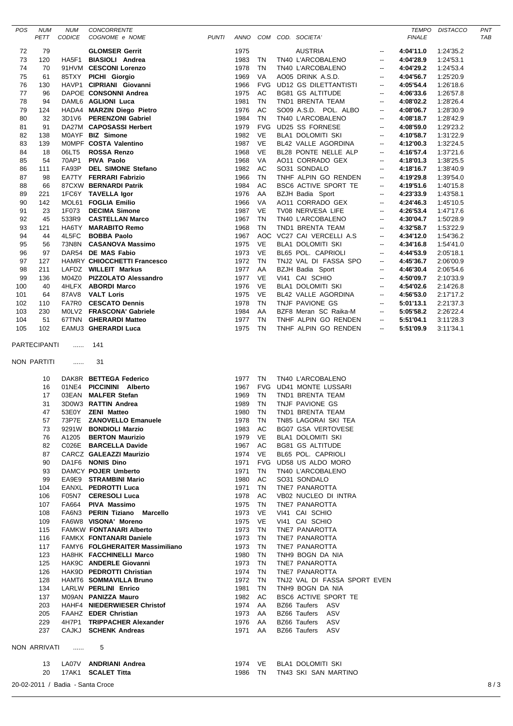| POS      | <b>NUM</b><br>PETT          | <b>NUM</b><br>CODICE             | CONCORRENTE<br>COGNOME e NOME                                     | <b>PUNTI</b> |                    |                 | ANNO COM COD. SOCIETA'                        |                                | <b>FINALE</b>          | TEMPO DISTACCO         | PNT<br><b>TAB</b> |
|----------|-----------------------------|----------------------------------|-------------------------------------------------------------------|--------------|--------------------|-----------------|-----------------------------------------------|--------------------------------|------------------------|------------------------|-------------------|
|          |                             |                                  |                                                                   |              |                    |                 |                                               |                                |                        |                        |                   |
| 72<br>73 | 79<br>120                   | HA5F1                            | <b>GLOMSER Gerrit</b><br><b>BIASIOLI</b> Andrea                   |              | 1975<br>1983       | TN              | <b>AUSTRIA</b><br>TN40 L'ARCOBALENO           | $\overline{\phantom{a}}$       | 4:04'11.0              | 1:24'35.2<br>1:24'53.1 |                   |
| 74       | 70                          |                                  | 91HVM CESCONI Lorenzo                                             |              | 1978               | TN              | TN40 L'ARCOBALENO                             | $\overline{\phantom{a}}$<br>-- | 4:04'28.9<br>4:04'29.2 | 1:24'53.4              |                   |
| 75       | 61                          |                                  | 85TXY PICHI Giorgio                                               |              | 1969               | VA              | AO05 DRINK A.S.D.                             | $\overline{\phantom{a}}$       | 4:04'56.7              | 1:25'20.9              |                   |
| 76       | 130                         |                                  | HAVP1 CIPRIANI Giovanni                                           |              | 1966               | <b>FVG</b>      | UD12 GS DILETTANTISTI                         | --                             | 4:05'54.4              | 1:26'18.6              |                   |
| 77       | 96                          |                                  | DAPOE CONSONNI Andrea                                             |              | 1975               | AC              | BG81 GS ALTITUDE                              | --                             | 4:06'33.6              | 1:26'57.8              |                   |
| 78       | 94                          |                                  | DAML6 AGLIONI Luca                                                |              | 1981               | TN              | TND1 BRENTA TEAM                              | $\overline{\phantom{a}}$       | 4:08'02.2              | 1:28'26.4              |                   |
| 79       | 124                         |                                  | HADA4 MARZIN Diego Pietro                                         |              | 1976               | AC              | SO09 A.S.D. POL. ALBO                         | ۰.                             | 4:08'06.7              | 1:28'30.9              |                   |
| 80       | 32                          |                                  | 3D1V6 PERENZONI Gabriel                                           |              | 1984               | <b>TN</b>       | TN40 L'ARCOBALENO                             | $\overline{\phantom{a}}$       | 4:08'18.7              | 1:28'42.9              |                   |
| 81       | 91                          |                                  | DA27M CAPOSASSI Herbert                                           |              | 1979               | <b>FVG</b>      | <b>UD25 SS FORNESE</b>                        | $\overline{\phantom{a}}$       | 4:08'59.0              | 1:29'23.2              |                   |
| 82       | 138                         |                                  | MOAYF BIZ Simone                                                  |              | 1982               | <b>VE</b>       | BLA1 DOLOMITI SKI                             | --                             | 4:10'58.7              | 1:31'22.9              |                   |
| 83       | 139                         |                                  | MOMPF COSTA Valentino                                             |              | 1987               | <b>VE</b>       | BL42 VALLE AGORDINA                           | --                             | 4:12'00.3              | 1:32'24.5              |                   |
| 84       | 18                          | 06LT5                            | <b>ROSSA Renzo</b>                                                |              | 1968               | <b>VE</b>       | BL28 PONTE NELLE ALP                          | --                             | 4:16'57.4              | 1:37'21.6              |                   |
| 85       | 54                          |                                  | 70AP1 PIVA Paolo                                                  |              | 1968               | VA              | AO11 CORRADO GEX                              | --                             | 4:18'01.3              | 1:38'25.5              |                   |
| 86       | 111                         |                                  | FA93P DEL SIMONE Stefano                                          |              | 1982               | AC              | SO31 SONDALO                                  | $\overline{\phantom{a}}$       | 4:18'16.7              | 1:38'40.9              |                   |
| 87       | 98                          |                                  | EA7TY FERRARI Fabrizio                                            |              | 1966               | TN              | TNHF ALPIN GO RENDEN                          | ۰.                             | 4:19'29.8              | 1:39'54.0              |                   |
| 88       | 66                          |                                  | 87CXW BERNARDI Patrik                                             |              | 1984               | AC              | BSC6 ACTIVE SPORT TE                          | $\overline{\phantom{a}}$       | 4:19'51.6              | 1:40'15.8              |                   |
| 89       | 221                         |                                  | 1FC6Y TAVELLA Igor                                                |              | 1976               | AA              | BZJH Badia Sport                              | $\overline{\phantom{a}}$       | 4:23'33.9              | 1:43'58.1              |                   |
| 90       | 142                         |                                  | MOL61 FOGLIA Emilio                                               |              | 1966               | VA              | AO11 CORRADO GEX                              | --                             | 4:24'46.3              | 1:45'10.5              |                   |
| 91       | 23                          | 1F073                            | <b>DECIMA Simone</b>                                              |              | 1987               | VE              | TV08 NERVESA LIFE                             | $\overline{\phantom{a}}$       | 4:26'53.4              | 1:47'17.6              |                   |
| 92       | 45                          | 533R9                            | <b>CASTELLAN Marco</b>                                            |              | 1967               | <b>TN</b>       | TN40 L'ARCOBALENO                             | --                             | 4:30'04.7              | 1:50'28.9              |                   |
| 93       | 121                         | 4L5FC                            | HA6TY MARABITO Remo                                               |              | 1968<br>1967       | <b>TN</b>       | TND1 BRENTA TEAM<br>AOC VC27 CAI VERCELLI A.S | $\overline{\phantom{a}}$       | 4:32'58.7              | 1:53'22.9              |                   |
| 94       | 44                          |                                  | <b>BOBBA Paolo</b>                                                |              |                    |                 |                                               | $\overline{\phantom{a}}$       | 4:34'12.0              | 1:54'36.2              |                   |
| 95<br>96 | 56<br>97                    |                                  | 73N8N CASANOVA Massimo<br>DAR54 DE MAS Fabio                      |              | 1975<br>1973       | VE<br><b>VE</b> | BLA1 DOLOMITI SKI<br>BL65 POL. CAPRIOLI       | --<br>--                       | 4:34'16.8<br>4:44'53.9 | 1:54'41.0<br>2:05'18.1 |                   |
| 97       |                             |                                  | HAMRY CHIOCCHETTI Francesco                                       |              | 1972               | TN              | TNJ2 VAL DI FASSA SPO                         |                                | 4:45'36.7              |                        |                   |
| 98       | 127<br>211                  |                                  | LAFDZ WILLEIT Markus                                              |              | 1977               | AA              | BZJH Badia Sport                              | $\overline{\phantom{a}}$<br>-- | 4:46'30.4              | 2:06'00.9<br>2:06'54.6 |                   |
| 99       | 136                         |                                  | M04Z0 PIZZOLATO Alessandro                                        |              | 1977               | VE              | VI41 CAI SCHIO                                | $\overline{\phantom{a}}$       | 4:50'09.7              | 2:10'33.9              |                   |
| 100      | 40                          |                                  | 4HLFX ABORDI Marco                                                |              | 1976               | VE              | BLA1 DOLOMITI SKI                             | --                             | 4:54'02.6              | 2:14'26.8              |                   |
| 101      | 64                          |                                  | 87AV8 VALT Loris                                                  |              | 1975               | VE              | BL42 VALLE AGORDINA                           | $\overline{\phantom{a}}$       | 4:56'53.0              | 2:17'17.2              |                   |
| 102      | 110                         |                                  | FA7R0 CESCATO Dennis                                              |              | 1978               | <b>TN</b>       | TNJF PAVIONE GS                               | --                             | 5:01'13.1              | 2:21'37.3              |                   |
| 103      | 230                         |                                  | MOLV2 FRASCONA' Gabriele                                          |              | 1984               | AA              | BZF8 Meran SC Raika-M                         | $\overline{\phantom{a}}$       | 5:05'58.2              | 2:26'22.4              |                   |
| 104      | 51                          |                                  | 67TNN GHERARDI Matteo                                             |              | 1977               | TN              | TNHF ALPIN GO RENDEN                          | $\overline{\phantom{a}}$       | 5:51'04.1              | 3:11'28.3              |                   |
| 105      | 102                         |                                  | EAMU3 GHERARDI Luca                                               |              | 1975               | TN              | TNHF ALPIN GO RENDEN                          | $\overline{\phantom{a}}$       | 5:51'09.9              | 3:11'34.1              |                   |
|          | PARTECIPANTI<br>NON PARTITI | .<br>.                           | 141<br>31                                                         |              |                    |                 |                                               |                                |                        |                        |                   |
|          | 10                          |                                  | DAK8R BETTEGA Federico                                            |              | 1977               | <b>TN</b>       | TN40 L'ARCOBALENO                             |                                |                        |                        |                   |
|          | 16                          |                                  | 01NE4 PICCININI Alberto                                           |              | 1967               |                 | FVG UD41 MONTE LUSSARI                        |                                |                        |                        |                   |
|          | 17                          |                                  | 03EAN MALFER Stefan                                               |              | 1969<br>1989       | TN<br>TN        | TND1 BRENTA TEAM                              |                                |                        |                        |                   |
|          | 31<br>47                    |                                  | 3D0W3 RATTIN Andrea<br>53E0Y ZENI Matteo                          |              | 1980 TN            |                 | TNJF PAVIONE GS<br>TND1 BRENTA TEAM           |                                |                        |                        |                   |
|          | 57                          |                                  | 73P7E ZANOVELLO Emanuele                                          |              | 1978 TN            |                 | TN85 LAGORAI SKI TEA                          |                                |                        |                        |                   |
|          | 73                          |                                  | 9291W BONDIOLI Marzio                                             |              | 1983 AC            |                 | <b>BG07 GSA VERTOVESE</b>                     |                                |                        |                        |                   |
|          | 76                          | A1205                            | <b>BERTON Maurizio</b>                                            |              | 1979               | VE.             | BLA1 DOLOMITI SKI                             |                                |                        |                        |                   |
|          | 82                          |                                  | C026E BARCELLA Davide                                             |              | 1967               | AC              | <b>BG81 GS ALTITUDE</b>                       |                                |                        |                        |                   |
|          | 87                          |                                  | CARCZ GALEAZZI Maurizio                                           |              | 1974               | VE              | BL65 POL. CAPRIOLI                            |                                |                        |                        |                   |
|          | 90                          |                                  | DA1F6 NONIS Dino                                                  |              | 1971               |                 | FVG UD58 US ALDO MORO                         |                                |                        |                        |                   |
|          | 93                          |                                  | DAMCY POJER Umberto                                               |              | 1971               | TN              | TN40 L'ARCOBALENO                             |                                |                        |                        |                   |
|          | 99                          |                                  | EA9E9 STRAMBINI Mario                                             |              | 1980               | AC              | SO31 SONDALO                                  |                                |                        |                        |                   |
|          | 104                         |                                  | EANXL PEDROTTI Luca                                               |              | 1971               | TN              | TNE7 PANAROTTA                                |                                |                        |                        |                   |
|          | 106                         |                                  | F05N7 CERESOLI Luca                                               |              | 1978 AC            |                 | VB02 NUCLEO DI INTRA                          |                                |                        |                        |                   |
|          | 107                         |                                  | FA664 PIVA Massimo                                                |              | 1975 TN            |                 | TNE7 PANAROTTA                                |                                |                        |                        |                   |
|          | 108                         |                                  | FA6N3 PERIN Tiziano Marcello                                      |              | 1973 VE            |                 | VI41 CAI SCHIO                                |                                |                        |                        |                   |
|          | 109                         |                                  | FA6W8 VISONA' Moreno                                              |              | 1975 VE            |                 | VI41 CAI SCHIO                                |                                |                        |                        |                   |
|          | 115                         |                                  | FAMKW FONTANARI Alberto                                           |              | 1973 TN            |                 | TNE7 PANAROTTA                                |                                |                        |                        |                   |
|          | 116<br>117                  |                                  | <b>FAMKX FONTANARI Daniele</b><br>FAMY6 FOLGHERAITER Massimiliano |              | 1973 TN<br>1973 TN |                 | TNE7 PANAROTTA<br>TNE7 PANAROTTA              |                                |                        |                        |                   |
|          | 123                         |                                  | HA8HK FACCHINELLI Marco                                           |              | 1980 TN            |                 | TNH9 BOGN DA NIA                              |                                |                        |                        |                   |
|          | 125                         |                                  | HAK9C ANDERLE Giovanni                                            |              | 1973 TN            |                 | TNE7 PANAROTTA                                |                                |                        |                        |                   |
|          | 126                         |                                  | HAK9D PEDROTTI Christian                                          |              | 1974 TN            |                 | TNE7 PANAROTTA                                |                                |                        |                        |                   |
|          | 128                         |                                  | HAMT6 SOMMAVILLA Bruno                                            |              | 1972 TN            |                 | TNJ2 VAL DI FASSA SPORT EVEN                  |                                |                        |                        |                   |
|          | 134                         |                                  | LARLW PERLINI Enrico                                              |              | 1981               | TN              | TNH9 BOGN DA NIA                              |                                |                        |                        |                   |
|          | 137                         |                                  | M09AN PANIZZA Mauro                                               |              | 1982 AC            |                 | BSC6 ACTIVE SPORT TE                          |                                |                        |                        |                   |
|          | 203                         |                                  | HAHF4 NIEDERWIESER Christof                                       |              | 1974 AA            |                 | BZ66 Taufers ASV                              |                                |                        |                        |                   |
|          | 205                         |                                  | FAAHZ EDER Christian                                              |              | 1973 AA            |                 | BZ66 Taufers<br>ASV                           |                                |                        |                        |                   |
|          | 229                         |                                  | 4H7P1 TRIPPACHER Alexander                                        |              | 1976 AA            |                 | BZ66 Taufers<br>ASV                           |                                |                        |                        |                   |
|          | 237                         |                                  | CAJKJ SCHENK Andreas                                              |              | 1971 AA            |                 | BZ66 Taufers<br>ASV                           |                                |                        |                        |                   |
|          | NON ARRIVATI                | $\cdots$                         | 5                                                                 |              |                    |                 |                                               |                                |                        |                        |                   |
|          | 13<br>20                    |                                  | LA07V ANDRIANI Andrea<br>17AK1 <b>SCALET Titta</b>                |              | 1974 VE<br>1986 TN |                 | BLA1 DOLOMITI SKI<br>TN43 SKI SAN MARTINO     |                                |                        |                        |                   |
|          |                             | 20-02-2011 / Badia - Santa Croce |                                                                   |              |                    |                 |                                               |                                |                        |                        | 8/3               |